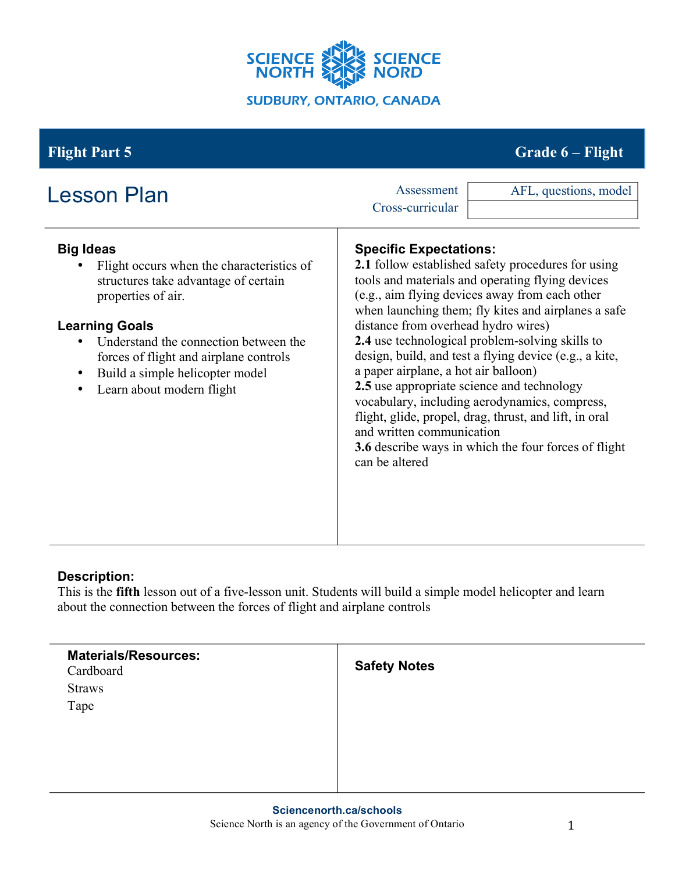

## **Flight Part 5 Grade 6 – Flight**

| <b>Lesson Plan</b>                                                                                                                                                                                                                                                                                                                             | AFL, questions, model<br>Assessment<br>Cross-curricular                                                                                                                                                                                                                                                                                                                                                                                                                                                                                                                                                                                                                                                             |
|------------------------------------------------------------------------------------------------------------------------------------------------------------------------------------------------------------------------------------------------------------------------------------------------------------------------------------------------|---------------------------------------------------------------------------------------------------------------------------------------------------------------------------------------------------------------------------------------------------------------------------------------------------------------------------------------------------------------------------------------------------------------------------------------------------------------------------------------------------------------------------------------------------------------------------------------------------------------------------------------------------------------------------------------------------------------------|
| <b>Big Ideas</b><br>Flight occurs when the characteristics of<br>structures take advantage of certain<br>properties of air.<br><b>Learning Goals</b><br>Understand the connection between the<br>$\bullet$<br>forces of flight and airplane controls<br>Build a simple helicopter model<br>$\bullet$<br>Learn about modern flight<br>$\bullet$ | <b>Specific Expectations:</b><br><b>2.1</b> follow established safety procedures for using<br>tools and materials and operating flying devices<br>(e.g., aim flying devices away from each other<br>when launching them; fly kites and airplanes a safe<br>distance from overhead hydro wires)<br>2.4 use technological problem-solving skills to<br>design, build, and test a flying device (e.g., a kite,<br>a paper airplane, a hot air balloon)<br>2.5 use appropriate science and technology<br>vocabulary, including aerodynamics, compress,<br>flight, glide, propel, drag, thrust, and lift, in oral<br>and written communication<br>3.6 describe ways in which the four forces of flight<br>can be altered |

### **Description:**

This is the **fifth** lesson out of a five-lesson unit. Students will build a simple model helicopter and learn about the connection between the forces of flight and airplane controls

| <b>Materials/Resources:</b><br>Cardboard | <b>Safety Notes</b> |
|------------------------------------------|---------------------|
| <b>Straws</b>                            |                     |
| Tape                                     |                     |
|                                          |                     |
|                                          |                     |
|                                          |                     |
|                                          |                     |
|                                          |                     |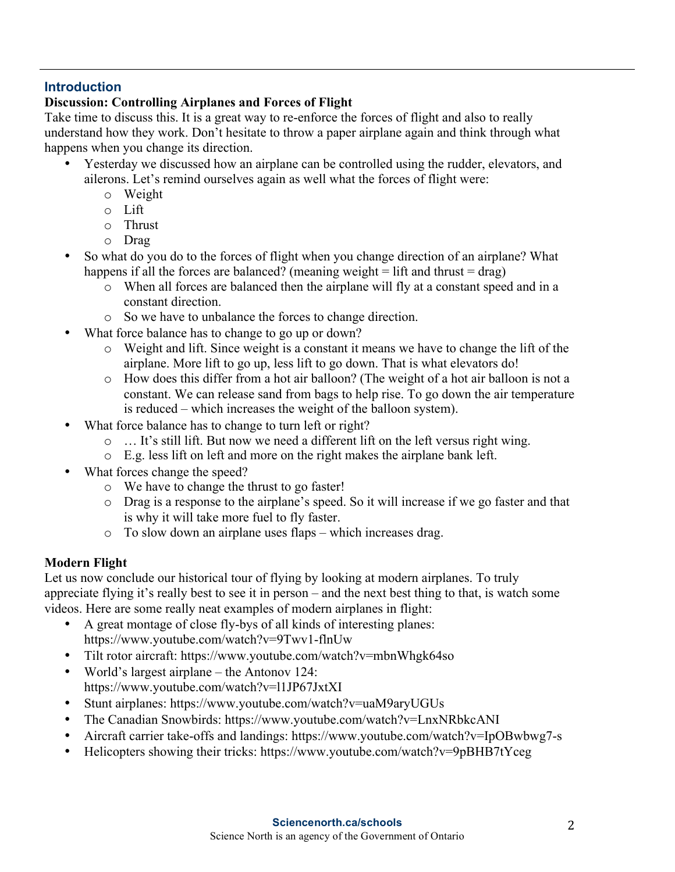### **Introduction**

### **Discussion: Controlling Airplanes and Forces of Flight**

Take time to discuss this. It is a great way to re-enforce the forces of flight and also to really understand how they work. Don't hesitate to throw a paper airplane again and think through what happens when you change its direction.

- Yesterday we discussed how an airplane can be controlled using the rudder, elevators, and ailerons. Let's remind ourselves again as well what the forces of flight were:
	- o Weight
	- o Lift
	- o Thrust
	- o Drag
- So what do you do to the forces of flight when you change direction of an airplane? What happens if all the forces are balanced? (meaning weight  $=$  lift and thrust  $=$  drag)
	- o When all forces are balanced then the airplane will fly at a constant speed and in a constant direction.
	- o So we have to unbalance the forces to change direction.
- What force balance has to change to go up or down?
	- o Weight and lift. Since weight is a constant it means we have to change the lift of the airplane. More lift to go up, less lift to go down. That is what elevators do!
	- o How does this differ from a hot air balloon? (The weight of a hot air balloon is not a constant. We can release sand from bags to help rise. To go down the air temperature is reduced – which increases the weight of the balloon system).
- What force balance has to change to turn left or right?
	- o … It's still lift. But now we need a different lift on the left versus right wing.
	- o E.g. less lift on left and more on the right makes the airplane bank left.
- What forces change the speed?
	- o We have to change the thrust to go faster!
	- o Drag is a response to the airplane's speed. So it will increase if we go faster and that is why it will take more fuel to fly faster.
	- o To slow down an airplane uses flaps which increases drag.

### **Modern Flight**

Let us now conclude our historical tour of flying by looking at modern airplanes. To truly appreciate flying it's really best to see it in person – and the next best thing to that, is watch some videos. Here are some really neat examples of modern airplanes in flight:

- A great montage of close fly-bys of all kinds of interesting planes: https://www.youtube.com/watch?v=9Twv1-flnUw
- Tilt rotor aircraft: https://www.youtube.com/watch?v=mbnWhgk64so
- World's largest airplane the Antonov 124: https://www.youtube.com/watch?v=l1JP67JxtXI
- Stunt airplanes: https://www.youtube.com/watch?v=uaM9aryUGUs
- The Canadian Snowbirds: https://www.youtube.com/watch?v=LnxNRbkcANI
- Aircraft carrier take-offs and landings: https://www.youtube.com/watch?v=IpOBwbwg7-s
- Helicopters showing their tricks: https://www.youtube.com/watch?v=9pBHB7tYceg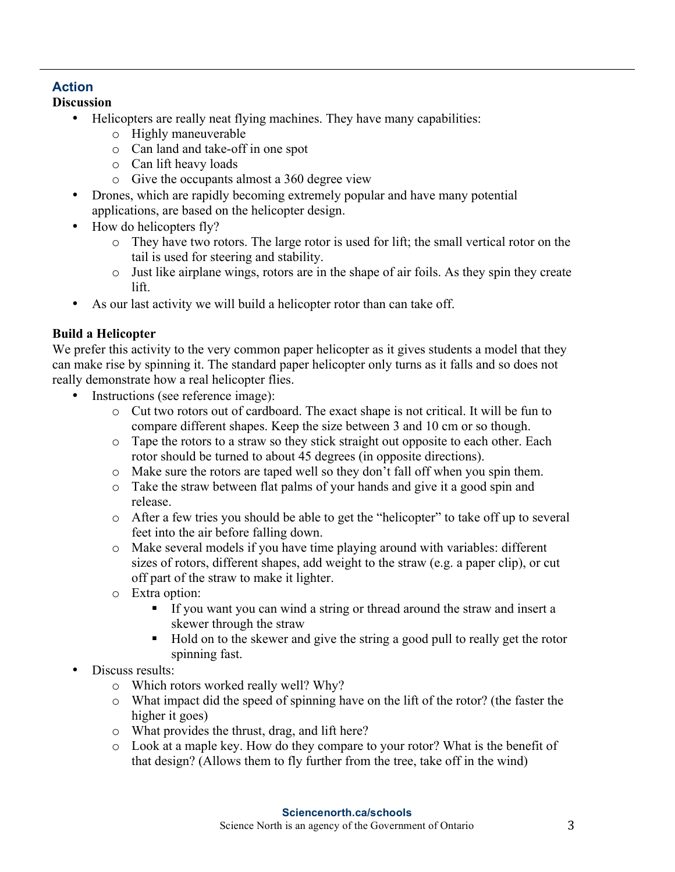# **Action**

- **Discussion**
	- Helicopters are really neat flying machines. They have many capabilities:
		- o Highly maneuverable
		- o Can land and take-off in one spot
		- o Can lift heavy loads
		- o Give the occupants almost a 360 degree view
	- Drones, which are rapidly becoming extremely popular and have many potential applications, are based on the helicopter design.
	- How do helicopters fly?
		- o They have two rotors. The large rotor is used for lift; the small vertical rotor on the tail is used for steering and stability.
		- o Just like airplane wings, rotors are in the shape of air foils. As they spin they create lift.
	- As our last activity we will build a helicopter rotor than can take off.

### **Build a Helicopter**

We prefer this activity to the very common paper helicopter as it gives students a model that they can make rise by spinning it. The standard paper helicopter only turns as it falls and so does not really demonstrate how a real helicopter flies.

- Instructions (see reference image):
	- o Cut two rotors out of cardboard. The exact shape is not critical. It will be fun to compare different shapes. Keep the size between 3 and 10 cm or so though.
	- o Tape the rotors to a straw so they stick straight out opposite to each other. Each rotor should be turned to about 45 degrees (in opposite directions).
	- o Make sure the rotors are taped well so they don't fall off when you spin them.
	- o Take the straw between flat palms of your hands and give it a good spin and release.
	- o After a few tries you should be able to get the "helicopter" to take off up to several feet into the air before falling down.
	- o Make several models if you have time playing around with variables: different sizes of rotors, different shapes, add weight to the straw (e.g. a paper clip), or cut off part of the straw to make it lighter.
	- o Extra option:
		- § If you want you can wind a string or thread around the straw and insert a skewer through the straw
		- Hold on to the skewer and give the string a good pull to really get the rotor spinning fast.
- Discuss results:
	- o Which rotors worked really well? Why?
	- o What impact did the speed of spinning have on the lift of the rotor? (the faster the higher it goes)
	- o What provides the thrust, drag, and lift here?
	- o Look at a maple key. How do they compare to your rotor? What is the benefit of that design? (Allows them to fly further from the tree, take off in the wind)